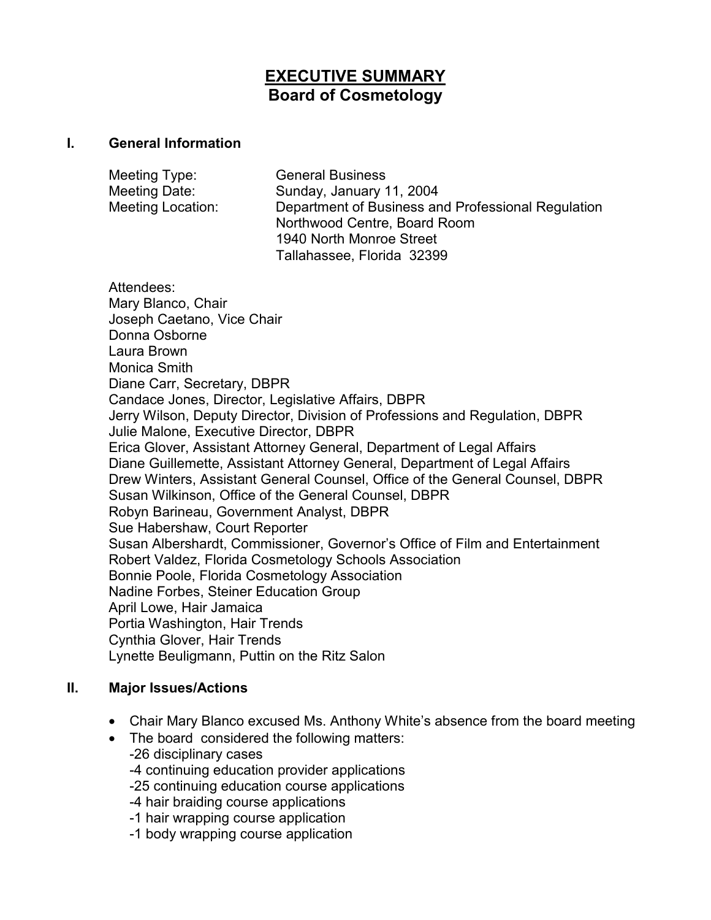# **EXECUTIVE SUMMARY Board of Cosmetology**

#### **I. General Information**

| Meeting Type:     | <b>General Business</b>                            |
|-------------------|----------------------------------------------------|
| Meeting Date:     | Sunday, January 11, 2004                           |
| Meeting Location: | Department of Business and Professional Regulation |
|                   | Northwood Centre, Board Room                       |
|                   | 1940 North Monroe Street                           |
|                   | Tallahassee, Florida 32399                         |

Attendees: Mary Blanco, Chair Joseph Caetano, Vice Chair Donna Osborne Laura Brown Monica Smith Diane Carr, Secretary, DBPR Candace Jones, Director, Legislative Affairs, DBPR Jerry Wilson, Deputy Director, Division of Professions and Regulation, DBPR Julie Malone, Executive Director, DBPR Erica Glover, Assistant Attorney General, Department of Legal Affairs Diane Guillemette, Assistant Attorney General, Department of Legal Affairs Drew Winters, Assistant General Counsel, Office of the General Counsel, DBPR Susan Wilkinson, Office of the General Counsel, DBPR Robyn Barineau, Government Analyst, DBPR Sue Habershaw, Court Reporter Susan Albershardt, Commissioner, Governor's Office of Film and Entertainment Robert Valdez, Florida Cosmetology Schools Association Bonnie Poole, Florida Cosmetology Association Nadine Forbes, Steiner Education Group April Lowe, Hair Jamaica Portia Washington, Hair Trends Cynthia Glover, Hair Trends Lynette Beuligmann, Puttin on the Ritz Salon

### **II. Major Issues/Actions**

- Chair Mary Blanco excused Ms. Anthony White's absence from the board meeting
- The board considered the following matters: -26 disciplinary cases -4 continuing education provider applications -25 continuing education course applications -4 hair braiding course applications -1 hair wrapping course application -1 body wrapping course application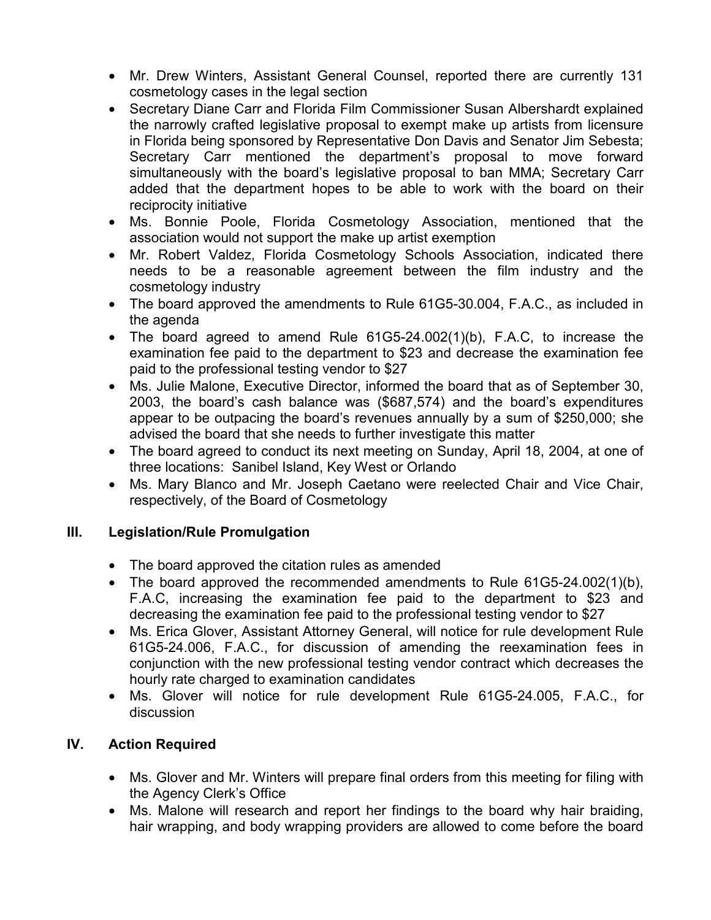- Mr. Drew Winters, Assistant General Counsel, reported there are currently 131 cosmetology cases in the legal section
- Secretary Diane Carr and Florida Film Commissioner Susan Albershardt explained the narrowly crafted legislative proposal to exempt make up artists from licensure in Florida being sponsored by Representative Don Davis and Senator Jim Sebesta; Secretary Carr mentioned the department's proposal to move forward simultaneously with the board's legislative proposal to ban MMA; Secretary Carr added that the department hopes to be able to work with the board on their reciprocity initiative
- Ms. Bonnie Poole, Florida Cosmetology Association, mentioned that the association would not support the make up artist exemption
- Mr. Robert Valdez, Florida Cosmetology Schools Association, indicated there needs to be a reasonable agreement between the film industry and the cosmetology industry
- The board approved the amendments to Rule 61G5-30.004, F.A.C., as included in the agenda
- The board agreed to amend Rule 61G5-24.002(1)(b), F.A.C, to increase the examination fee paid to the department to \$23 and decrease the examination fee paid to the professional testing vendor to \$27
- Ms. Julie Malone, Executive Director, informed the board that as of September 30, 2003, the board's cash balance was (\$687,574) and the board's expenditures appear to be outpacing the board's revenues annually by a sum of \$250,000; she advised the board that she needs to further investigate this matter
- The board agreed to conduct its next meeting on Sunday, April 18, 2004, at one of three locations: Sanibel Island, Key West or Orlando
- Ms. Mary Blanco and Mr. Joseph Caetano were reelected Chair and Vice Chair, respectively, of the Board of Cosmetology

## **III. Legislation/Rule Promulgation**

- The board approved the citation rules as amended
- The board approved the recommended amendments to Rule 61G5-24.002(1)(b). F.A.C, increasing the examination fee paid to the department to \$23 and decreasing the examination fee paid to the professional testing vendor to \$27
- Ms. Erica Glover, Assistant Attorney General, will notice for rule development Rule 61G5-24.006, F.A.C., for discussion of amending the reexamination fees in conjunction with the new professional testing vendor contract which decreases the hourly rate charged to examination candidates
- Ms. Glover will notice for rule development Rule 61G5-24.005, F.A.C., for discussion

## **IV. Action Required**

- Ms. Glover and Mr. Winters will prepare final orders from this meeting for filing with the Agency Clerk's Office
- Ms. Malone will research and report her findings to the board why hair braiding, hair wrapping, and body wrapping providers are allowed to come before the board